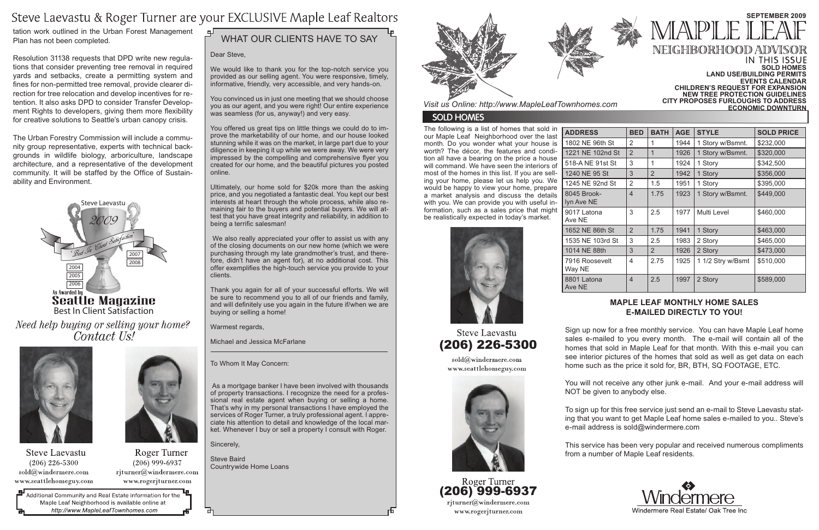The following is a list of homes that sold in our Maple Leaf Neighborhood over the last month. Do you wonder what your house is worth? The décor, the features and condition all have a bearing on the price a house will command. We have seen the interiors of most of the homes in this list. If you are selling your home, please let us help you. We would be happy to view your home, prepare a market analysis and discuss the details with you. We can provide you with useful information, such as a sales price that might be realistically expected in today's market.

| <b>ADDRESS</b>            | <b>BED</b>     | <b>BATH</b>    | <b>AGE</b> | <b>STYLE</b>      | <b>SOLD PRICE</b> |
|---------------------------|----------------|----------------|------------|-------------------|-------------------|
| 1802 NE 96th St           | $\overline{2}$ | 1              | 1944       | 1 Story w/Bsmnt.  | \$232,000         |
| 1221 NE 102nd St          | 2              | 1              | 1926       | 1 Story w/Bsmnt.  | \$320,000         |
| 518-A NE 91st St          | 3              | 1              | 1924       | 1 Story           | \$342,500         |
| 1240 NE 95 St             | 3              | $\overline{2}$ | 1942       | 1 Story           | \$356,000         |
| 1245 NE 92nd St           | $\overline{2}$ | 1.5            | 1951       | 1 Story           | \$395,000         |
| 8045 Brook-<br>lyn Ave NE | 4              | 1.75           | 1923       | 1 Story w/Bsmnt.  | \$449,000         |
| 9017 Latona<br>Ave NE     | 3              | 2.5            | 1977       | Multi Level       | \$460,000         |
| 1652 NE 86th St           | 2              | 1.75           | 1941       | 1 Story           | \$463,000         |
| 1535 NE 103rd St          | 3              | 2.5            | 1983       | 2 Story           | \$465,000         |
| 1014 NE 88th              | 3              | $\overline{2}$ | 1926       | 2 Story           | \$473,000         |
| 7916 Roosevelt<br>Way NE  | 4              | 2.75           | 1925       | 1 1/2 Stry w/Bsmt | \$510,000         |
| 8801 Latona<br>Ave NE     | $\overline{4}$ | 2.5            | 1997       | 2 Story           | \$589,000         |





Dear Steve,

We would like to thank you for the top-notch service you provided as our selling agent. You were responsive, timely, informative, friendly, very accessible, and very hands-on.

You convinced us in just one meeting that we should choose you as our agent, and you were right! Our entire experience was seamless (for us, anyway!) and very easy.

You offered us great tips on little things we could do to improve the marketability of our home, and our house looked stunning while it was on the market, in large part due to your diligence in keeping it up while we were away. We were very impressed by the compelling and comprehensive flyer you created for our home, and the beautiful pictures you posted online.

Ultimately, our home sold for \$20k more than the asking price, and you negotiated a fantastic deal. You kept our best interests at heart through the whole process, while also remaining fair to the buyers and potential buyers. We will attest that you have great integrity and reliability, in addition to being a terrific salesman!

 We also really appreciated your offer to assist us with any of the closing documents on our new home (which we were purchasing through my late grandmother's trust, and therefore, didn't have an agent for), at no additional cost. This offer exemplifies the high-touch service you provide to your clients.

> (206) 226-5300 sold@windermere.com

www.seattlehomeguy.com



Roger Turner (206) 999-6937 rjturner@windermere.com www.rogerjturner.com

Best In Client Satisfaction Need help buying or selling your home? Contact Us!



**Steve Laevastu**  $(206)$  226-5300 sold@windermere.com www.seattlehomeguy.com



Roger Turner  $(206)$  999-6937 rjturner@windermere.com www.rogerjturner.com

Additional Community and Real Estate information for the Maple Leaf Neighborhood is available online at http://www.MapleLeafTownhomes.com

#### பி WHAT OUR CLIENTS HAVE TO SAY

#### IN THIS ISSUE **Sold Homes Land Use/Building Permits Events Calendar Children's request for expansion new tree protection Guidelines City proposes furloughs to address economic downturn**

Thank you again for all of your successful efforts. We will be sure to recommend you to all of our friends and family, and will definitely use you again in the future if/when we are buying or selling a home!

Warmest regards,

Michael and Jessica McFarlane

To Whom It May Concern:

 As a mortgage banker I have been involved with thousands of property transactions. I recognize the need for a professional real estate agent when buying or selling a home. That's why in my personal transactions I have employed the services of Roger Turner, a truly professional agent. I appreciate his attention to detail and knowledge of the local market. Whenever I buy or sell a property I consult with Roger.

Sincerely,

Steve Baird Countrywide Home Loans



#### **Maple Leaf monthly home sales e-mailed directly to you!**

Sign up now for a free monthly service. You can have Maple Leaf home sales e-mailed to you every month. The e-mail will contain all of the homes that sold in Maple Leaf for that month. With this e-mail you can see interior pictures of the homes that sold as well as get data on each home such as the price it sold for, BR, BTH, SQ FOOTAGE, ETC.

You will not receive any other junk e-mail. And your e-mail address will NOT be given to anybody else.

To sign up for this free service just send an e-mail to Steve Laevastu stating that you want to get Maple Leaf home sales e-mailed to you.. Steve's e-mail address is sold@windermere.com



This service has been very popular and received numerous compliments from a number of Maple Leaf residents.



# **SEPTEMBER 2009** NEIGHBORHOO

*Visit us Online: http://www.MapleLeafTownhomes.com*

### **SOLD HOMES**

### Steve Laevastu & Roger Turner are your EXCLUSIVE Maple Leaf Realtors

tation work outlined in the Urban Forest Management Plan has not been completed.

Resolution 31138 requests that DPD write new regulations that consider preventing tree removal in required yards and setbacks, create a permitting system and fines for non-permitted tree removal, provide clearer direction for tree relocation and develop incentives for retention. It also asks DPD to consider Transfer Development Rights to developers, giving them more flexibility for creative solutions to Seattle's urban canopy crisis.

The Urban Forestry Commission will include a community group representative, experts with technical backgrounds in wildlife biology, arboriculture, landscape architecture, and a representative of the development community. It will be staffed by the Office of Sustainability and Environment.